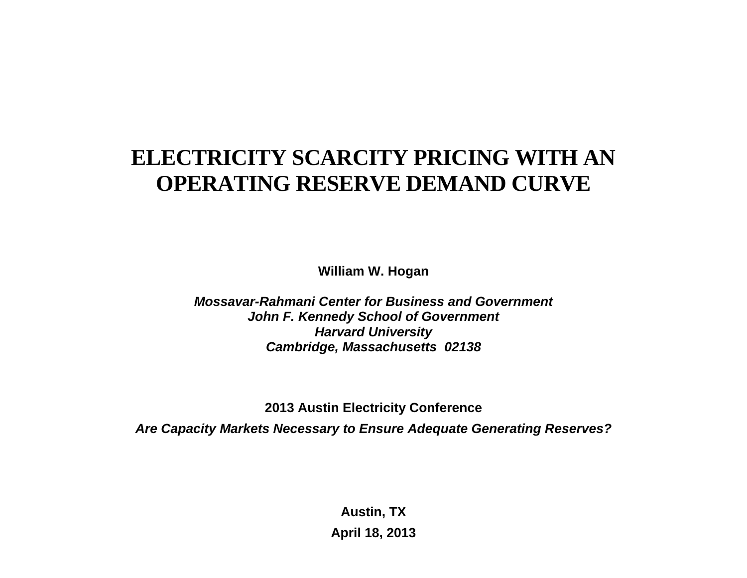# **ELECTRICITY SCARCITY PRICING WITH AN OPERATING RESERVE DEMAND CURVE**

**William W. Hogan** 

*Mossavar-Rahmani Center for Business and Government John F. Kennedy School of Government Harvard University Cambridge, Massachusetts 02138*

**2013 Austin Electricity Conference**  *Are Capacity Markets Necessary to Ensure Adequate Generating Reserves?* 

> **Austin, TX April 18, 2013**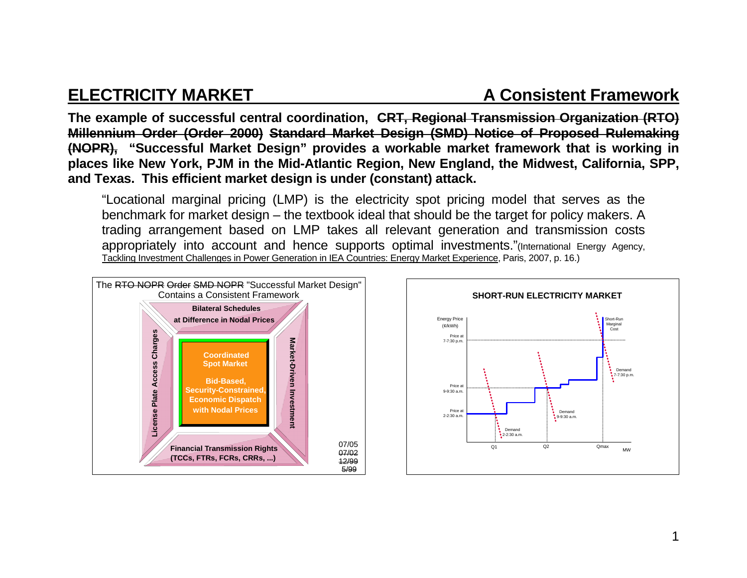### **ELECTRICITY MARKET A Consistent Framework**

**The example of successful central coordination, CRT, Regional Transmission Organization (RTO) Millennium Order (Order 2000) Standard Market Design (SMD) Notice of Proposed Rulemaking (NOPR), "Successful Market Design" provides a workable market framework that is working in places like New York, PJM in the Mid-Atlantic Region, New England, the Midwest, California, SPP, and Texas. This efficient market design is under (constant) attack.**

"Locational marginal pricing (LMP) is the electricity spot pricing model that serves as the benchmark for market design – the textbook ideal that should be the target for policy makers. A trading arrangement based on LMP takes all relevant generation and transmission costs appropriately into account and hence supports optimal investments."(International Energy Agency, Tackling Investment Challenges in Power Generation in IEA Countries: Energy Market Experience, Paris, 2007, p. 16.)



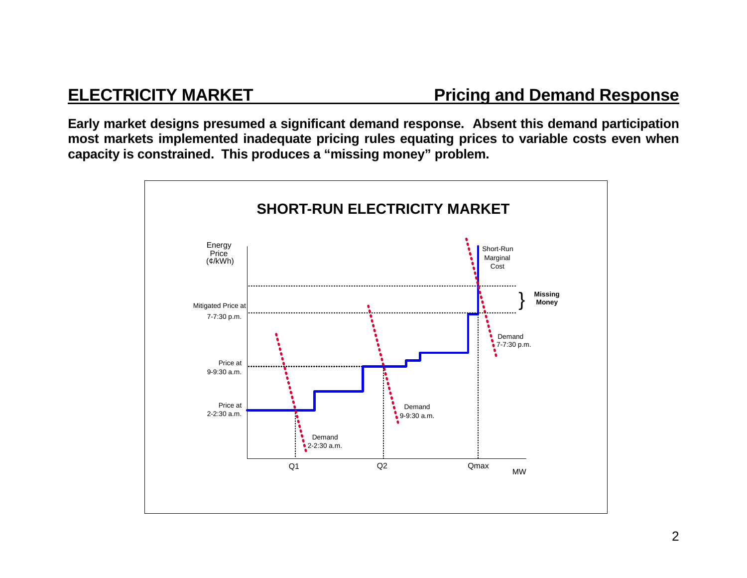**Early market designs presumed a significant demand response. Absent this demand participation most markets implemented inadequate pricing rules equating prices to variable costs even when capacity is constrained. This produces a "missing money" problem.** 

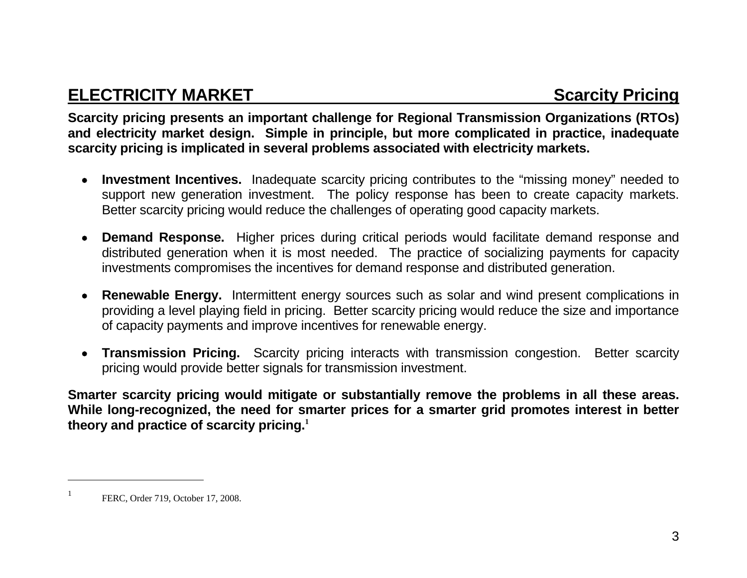## **ELECTRICITY MARKET SCARGISTS AND SCARGISTS AND SCARGISTS SCARGISTS**

**Scarcity pricing presents an important challenge for Regional Transmission Organizations (RTOs) and electricity market design. Simple in principle, but more complicated in practice, inadequate scarcity pricing is implicated in several problems associated with electricity markets.** 

- **Investment Incentives.** Inadequate scarcity pricing contributes to the "missing money" needed to support new generation investment. The policy response has been to create capacity markets. Better scarcity pricing would reduce the challenges of operating good capacity markets.
- **Demand Response.** Higher prices during critical periods would facilitate demand response and distributed generation when it is most needed. The practice of socializing payments for capacity investments compromises the incentives for demand response and distributed generation.
- **Renewable Energy.** Intermittent energy sources such as solar and wind present complications in providing a level playing field in pricing. Better scarcity pricing would reduce the size and importance of capacity payments and improve incentives for renewable energy.
- **Transmission Pricing.** Scarcity pricing interacts with transmission congestion. Better scarcity pricing would provide better signals for transmission investment.

**Smarter scarcity pricing would mitigate or substantially remove the problems in all these areas. While long-recognized, the need for smarter prices for a smarter grid promotes interest in better theory and practice of scarcity pricing.<sup>1</sup>**

FERC, Order 719, October 17, 2008.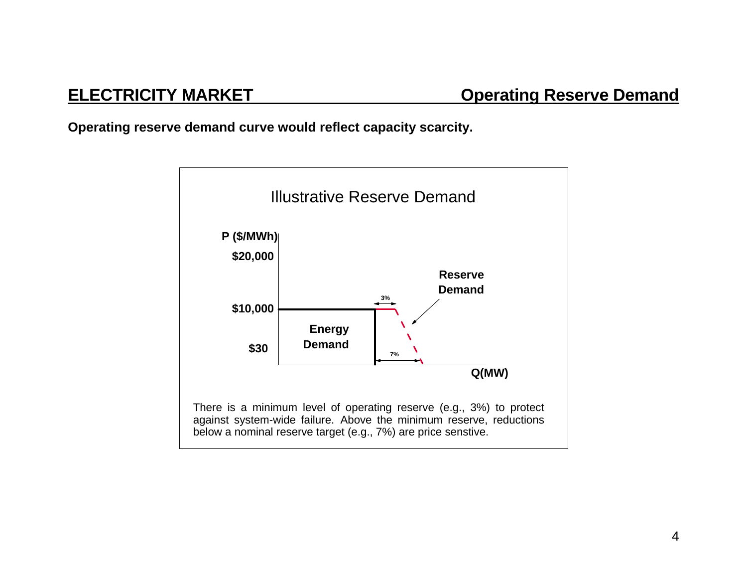**Operating reserve demand curve would reflect capacity scarcity.** 

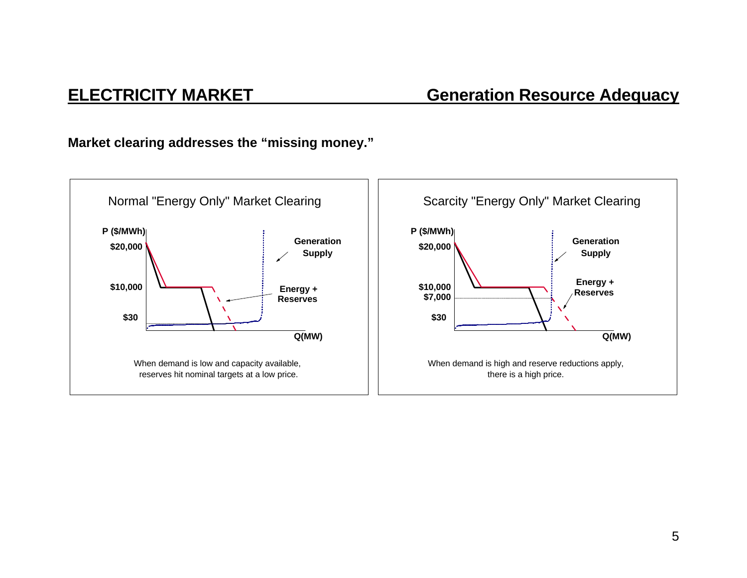### **ELECTRICITY MARKET Generation Resource Adequacy**

**Market clearing addresses the "missing money."** 

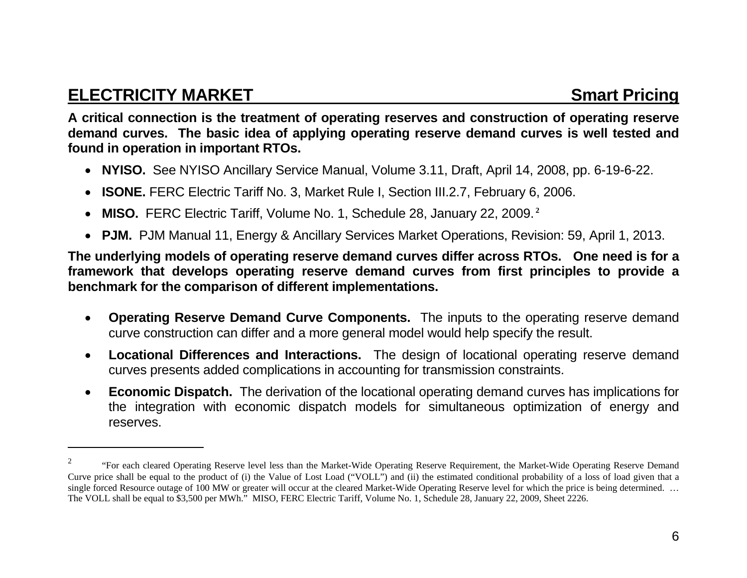### **ELECTRICITY MARKET Smart Pricing ATTACK SMARKET**

**A critical connection is the treatment of operating reserves and construction of operating reserve demand curves. The basic idea of applying operating reserve demand curves is well tested and found in operation in important RTOs.** 

- **NYISO.** See NYISO Ancillary Service Manual, Volume 3.11, Draft, April 14, 2008, pp. 6-19-6-22.
- $\bullet$ **ISONE.** FERC Electric Tariff No. 3, Market Rule I, Section III.2.7, February 6, 2006.
- $\bullet$ **MISO.** FERC Electric Tariff, Volume No. 1, Schedule 28, January 22, 2009.**<sup>2</sup>**
- **PJM.** PJM Manual 11, Energy & Ancillary Services Market Operations, Revision: 59, April 1, 2013.

**The underlying models of operating reserve demand curves differ across RTOs. One need is for a framework that develops operating reserve demand curves from first principles to provide a benchmark for the comparison of different implementations.** 

- $\bullet$  **Operating Reserve Demand Curve Components.** The inputs to the operating reserve demand curve construction can differ and a more general model would help specify the result.
- $\bullet$  **Locational Differences and Interactions.** The design of locational operating reserve demand curves presents added complications in accounting for transmission constraints.
- $\bullet$  **Economic Dispatch.** The derivation of the locational operating demand curves has implications for the integration with economic dispatch models for simultaneous optimization of energy and reserves.

<sup>&</sup>lt;sup>2</sup> "For each cleared Operating Reserve level less than the Market-Wide Operating Reserve Requirement, the Market-Wide Operating Reserve Demand Curve price shall be equal to the product of (i) the Value of Lost Load ("VOLL") and (ii) the estimated conditional probability of a loss of load given that a single forced Resource outage of 100 MW or greater will occur at the cleared Market-Wide Operating Reserve level for which the price is being determined. ... The VOLL shall be equal to \$3,500 per MWh." MISO, FERC Electric Tariff, Volume No. 1, Schedule 28, January 22, 2009, Sheet 2226.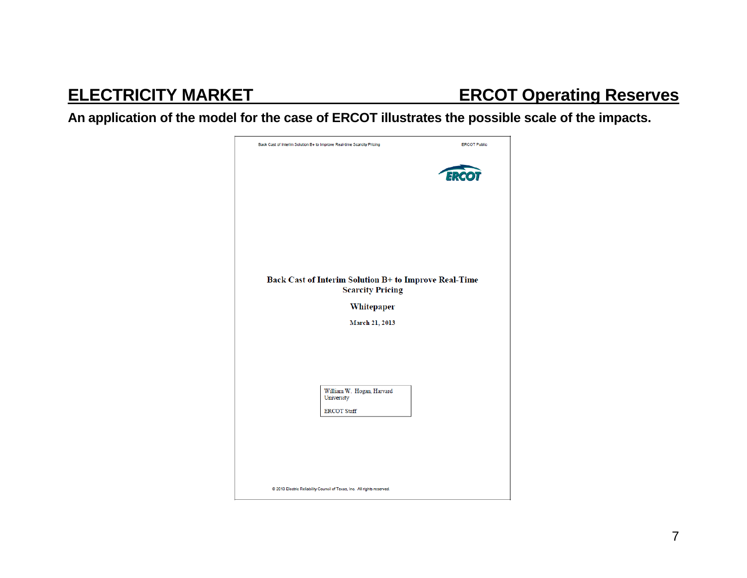## **ELECTRICITY MARKET ERCOT Operating Reserves**

**An application of the model for the case of ERCOT illustrates the possible scale of the impacts.** 

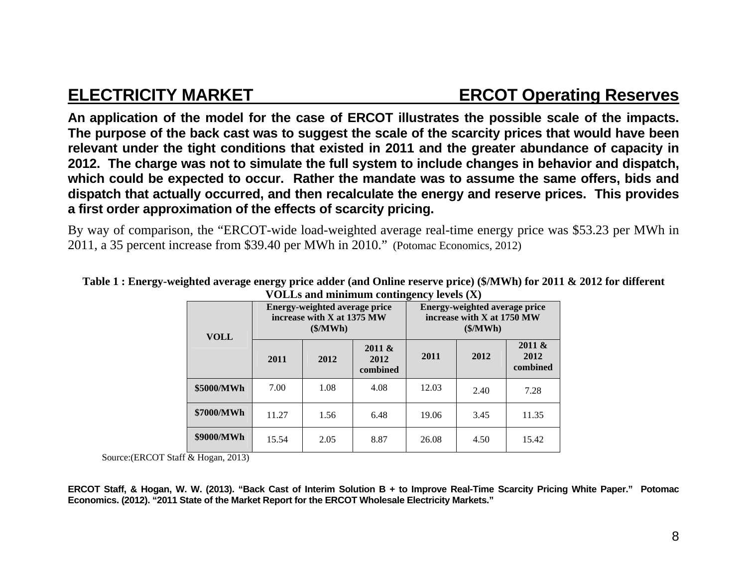## **ELECTRICITY MARKET ERCOT Operating Reserves**

**An application of the model for the case of ERCOT illustrates the possible scale of the impacts. The purpose of the back cast was to suggest the scale of the scarcity prices that would have been relevant under the tight conditions that existed in 2011 and the greater abundance of capacity in 2012. The charge was not to simulate the full system to include changes in behavior and dispatch, which could be expected to occur. Rather the mandate was to assume the same offers, bids and dispatch that actually occurred, and then recalculate the energy and reserve prices. This provides a first order approximation of the effects of scarcity pricing.**

By way of comparison, the "ERCOT-wide load-weighted average real-time energy price was \$53.23 per MWh in 2011, a 35 percent increase from \$39.40 per MWh in 2010." (Potomac Economics, 2012)

| <b>VOLL</b> | <b>Energy-weighted average price</b><br>increase with X at 1375 MW<br>$(\frac{\mathcal{M}}{\mathbf{W}})$ |      |                            | $\sum_{i=1}^{n}$<br><b>Energy-weighted average price</b><br>increase with X at 1750 MW<br>$(\frac{\mathcal{M}}{\mathbf{W}})$ |      |                            |
|-------------|----------------------------------------------------------------------------------------------------------|------|----------------------------|------------------------------------------------------------------------------------------------------------------------------|------|----------------------------|
|             | 2011                                                                                                     | 2012 | 2011 &<br>2012<br>combined | 2011                                                                                                                         | 2012 | 2011 &<br>2012<br>combined |
| \$5000/MWh  | 7.00                                                                                                     | 1.08 | 4.08                       | 12.03                                                                                                                        | 2.40 | 7.28                       |
| \$7000/MWh  | 11.27                                                                                                    | 1.56 | 6.48                       | 19.06                                                                                                                        | 3.45 | 11.35                      |
| \$9000/MWh  | 15.54                                                                                                    | 2.05 | 8.87                       | 26.08                                                                                                                        | 4.50 | 15.42                      |

### **Table 1 : Energy-weighted average energy price adder (and Online reserve price) (\$/MWh) for 2011 & 2012 for different VOLLs and minimum contingency levels (X)**

Source:(ERCOT Staff & Hogan, 2013)

**ERCOT Staff, & Hogan, W. W. (2013). "Back Cast of Interim Solution B + to Improve Real-Time Scarcity Pricing White Paper." Potomac Economics. (2012). "2011 State of the Market Report for the ERCOT Wholesale Electricity Markets."**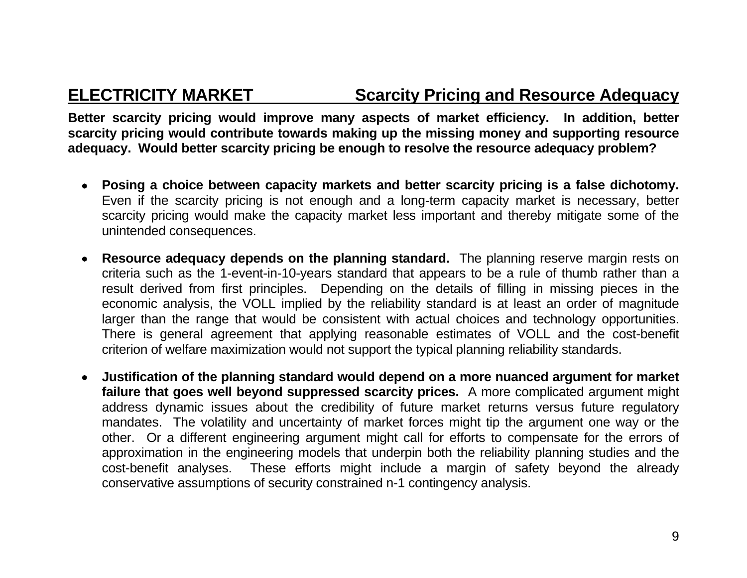### **ELECTRICITY MARKET Scarcity Pricing and Resource Adequacy**

**Better scarcity pricing would improve many aspects of market efficiency. In addition, better scarcity pricing would contribute towards making up the missing money and supporting resource adequacy. Would better scarcity pricing be enough to resolve the resource adequacy problem?** 

- **Posing a choice between capacity markets and better scarcity pricing is a false dichotomy.**  Even if the scarcity pricing is not enough and a long-term capacity market is necessary, better scarcity pricing would make the capacity market less important and thereby mitigate some of the unintended consequences.
- **Resource adequacy depends on the planning standard.** The planning reserve margin rests on criteria such as the 1-event-in-10-years standard that appears to be a rule of thumb rather than a result derived from first principles. Depending on the details of filling in missing pieces in the economic analysis, the VOLL implied by the reliability standard is at least an order of magnitude larger than the range that would be consistent with actual choices and technology opportunities. There is general agreement that applying reasonable estimates of VOLL and the cost-benefit criterion of welfare maximization would not support the typical planning reliability standards.
- **Justification of the planning standard would depend on a more nuanced argument for market failure that goes well beyond suppressed scarcity prices.** A more complicated argument might address dynamic issues about the credibility of future market returns versus future regulatory mandates. The volatility and uncertainty of market forces might tip the argument one way or the other. Or a different engineering argument might call for efforts to compensate for the errors of approximation in the engineering models that underpin both the reliability planning studies and the cost-benefit analyses. These efforts might include a margin of safety beyond the already conservative assumptions of security constrained n-1 contingency analysis.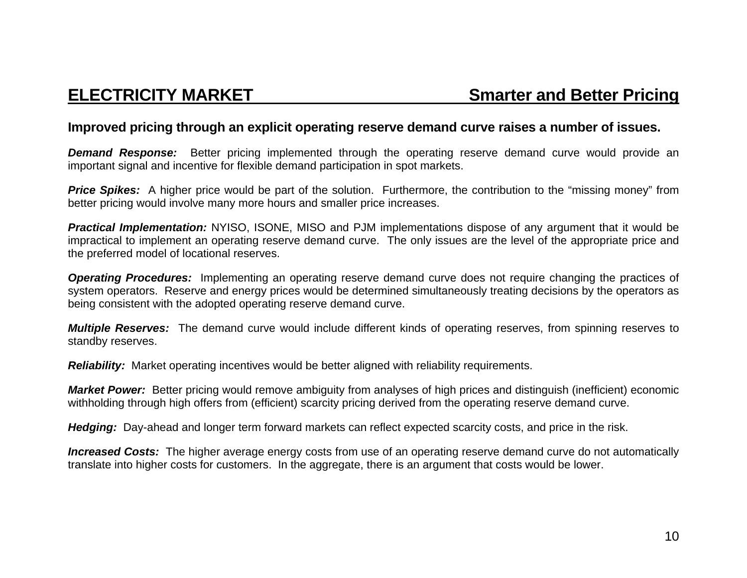### **Improved pricing through an explicit operating reserve demand curve raises a number of issues.**

**Demand Response:** Better pricing implemented through the operating reserve demand curve would provide an important signal and incentive for flexible demand participation in spot markets.

**Price Spikes:** A higher price would be part of the solution. Furthermore, the contribution to the "missing money" from better pricing would involve many more hours and smaller price increases.

*Practical Implementation:* NYISO, ISONE, MISO and PJM implementations dispose of any argument that it would be impractical to implement an operating reserve demand curve. The only issues are the level of the appropriate price and the preferred model of locational reserves.

*Operating Procedures:* Implementing an operating reserve demand curve does not require changing the practices of system operators. Reserve and energy prices would be determined simultaneously treating decisions by the operators as being consistent with the adopted operating reserve demand curve.

*Multiple Reserves:* The demand curve would include different kinds of operating reserves, from spinning reserves to standby reserves.

*Reliability:* Market operating incentives would be better aligned with reliability requirements.

*Market Power:* Better pricing would remove ambiguity from analyses of high prices and distinguish (inefficient) economic withholding through high offers from (efficient) scarcity pricing derived from the operating reserve demand curve.

*Hedging:* Day-ahead and longer term forward markets can reflect expected scarcity costs, and price in the risk.

*Increased Costs:* The higher average energy costs from use of an operating reserve demand curve do not automatically translate into higher costs for customers. In the aggregate, there is an argument that costs would be lower.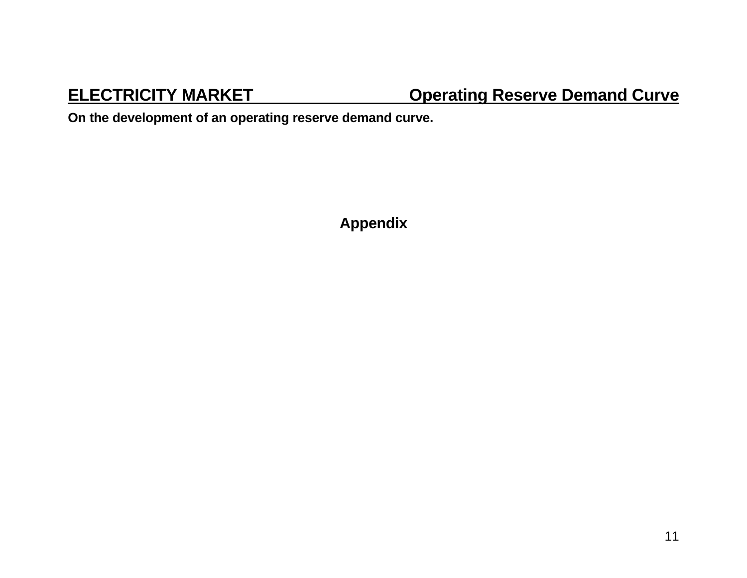## **ELECTRICITY MARKET COPER CONTROLLY CONTRACT CONTRACT CONTRACT CONTRACT CONTRACT CONTRACT CONTRACT CONTRACT CONTRACT CONTRACT CONTRACT CONTRACT CONTRACT CONTRACT CONTRACT CONTRACT CONTRACT CONTRACT CONTRACT CONTRACT CONTRA**

**On the development of an operating reserve demand curve.** 

**Appendix**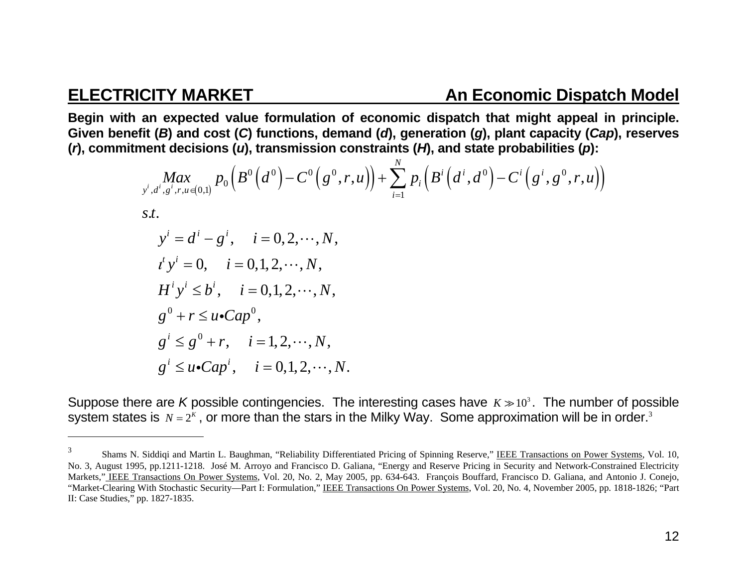### **ELECTRICITY MARKET An Economic Dispatch Model**

**Begin with an expected value formulation of economic dispatch that might appeal in principle. Given benefit (** *B***) and cost (** *C***) functions, demand (** *d***), generation (** *g***), plant capacity (***Cap***), reserves (***r***), commitment decisions (** *<sup>u</sup>***), transmission constraints (** *H***), and state probabilities (** *p***):** 

$$
\begin{aligned}\n\max_{\substack{y^i, d^i, g^i, r, u \in (0,1)}} p_0 \left( B^0 \left( d^0 \right) - C^0 \left( g^0, r, u \right) \right) + \sum_{i=1}^N p_i \left( B^i \left( d^i, d^0 \right) - C^i \left( g^i, g^0, r, u \right) \right) \\
\text{s.t.} \\
y^i &= d^i - g^i, \quad i = 0, 2, \dots, N, \\
t^i y^i &= 0, \quad i = 0, 1, 2, \dots, N, \\
H^i y^i & \le b^i, \quad i = 0, 1, 2, \dots, N, \\
g^0 + r & \le u \cdot Cap^0, \\
g^i & \le u \cdot Cap^i, \quad i = 1, 2, \dots, N, \\
g^i & \le u \cdot Cap^i, \quad i = 0, 1, 2, \dots, N.\n\end{aligned}
$$

Suppose there are *K* possible contingencies. The interesting cases have  $K\gg 10^3$ . The number of possible system states is  $\,N=2^{\kappa}$  , or more than the stars in the Milky Way. Some approximation will be in order. $^3$ 

<sup>&</sup>lt;sup>3</sup> Shams N. Siddiqi and Martin L. Baughman, "Reliability Differentiated Pricing of Spinning Reserve," IEEE Transactions on Power Systems, Vol. 10, No. 3, August 1995, pp.1211-1218. José M. Arroyo and Francisco D. Galiana, "Energy and Reserve Pricing in Security and Network-Constrained Electricity Markets," IEEE Transactions On Power Systems, Vol. 20, No. 2, May 2005, pp. 634-643. François Bouffard, Francisco D. Galiana, and Antonio J. Conejo, "Market-Clearing With Stochastic Security—Part I: Formulation," IEEE Transactions On Power Systems, Vol. 20, No. 4, November 2005, pp. 1818-1826; "Part II: Case Studies," pp. 1827-1835.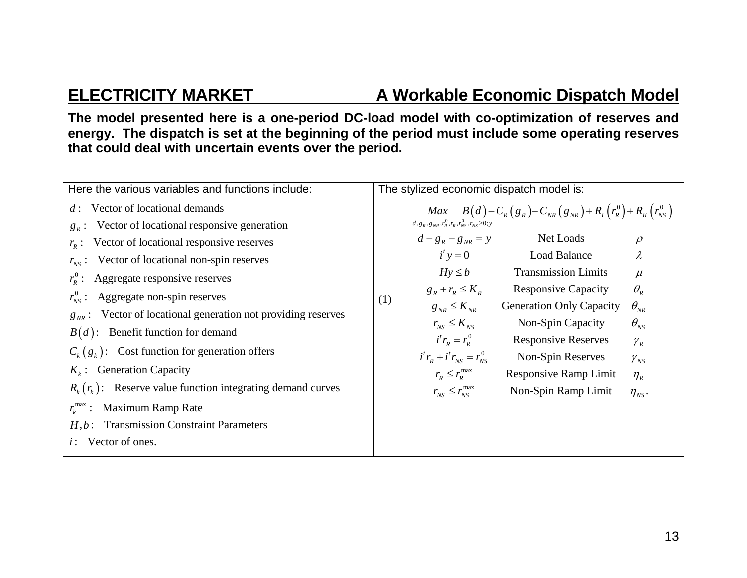### **ELECTRICITY MARKET A Workable Economic Dispatch Model**

**The model presented here is a one-period DC-load model with co-optimization of reserves and energy. The dispatch is set at the beginning of the period must include some operating reserves that could deal with uncertain events over the period.** 

| Here the various variables and functions include:                    | The stylized economic dispatch model is:                                                                 |  |  |  |
|----------------------------------------------------------------------|----------------------------------------------------------------------------------------------------------|--|--|--|
| $d$ : Vector of locational demands                                   | <i>Max</i> $B(d) - C_R(g_R) - C_{NR}(g_{NR}) + R_I(r_R^0) + R_{II}(r_{NS}^0)$                            |  |  |  |
| Vector of locational responsive generation<br>$g_{R}$ :              | $d, g_R, g_{NR}, r_R^0, r_R, r_{NS}^0, r_{NS} \ge 0; y$                                                  |  |  |  |
| $r_{R}$ : Vector of locational responsive reserves                   | $d - g_R - g_{NR} = y$<br>Net Loads<br>$\rho$                                                            |  |  |  |
| $r_{\text{NS}}$ : Vector of locational non-spin reserves             | $i^{\prime}$ y = 0<br><b>Load Balance</b><br>$\lambda$                                                   |  |  |  |
| $r_{R}^{0}$ : Aggregate responsive reserves                          | <b>Transmission Limits</b><br>$Hy \le b$<br>$\mu$                                                        |  |  |  |
| $r_{\scriptscriptstyle{NS}}^0$ : Aggregate non-spin reserves         | <b>Responsive Capacity</b><br>$\theta_{\scriptscriptstyle R}$<br>$g_R + r_R \leq K_R$                    |  |  |  |
|                                                                      | (1)<br>$g_{_{NR}} \leq K_{_{NR}}$<br><b>Generation Only Capacity</b><br>$\theta_{\scriptscriptstyle NR}$ |  |  |  |
| $g_{_{NR}}$ : Vector of locational generation not providing reserves | Non-Spin Capacity<br>$\theta_{NS}$<br>$r_{_{NS}} \leq K_{_{NS}}$                                         |  |  |  |
| $B(d)$ : Benefit function for demand                                 | $i^t r_p = r_p^0$<br><b>Responsive Reserves</b><br>$\mathcal{Y}_R$                                       |  |  |  |
| $C_k(g_k)$ : Cost function for generation offers                     | $i^t r_R + i^t r_{NS} = r_{NS}^0$<br>Non-Spin Reserves<br>$\mathcal{V}_{NS}$                             |  |  |  |
| $K_k$ : Generation Capacity                                          | $r_R \leq r_R^{\max}$<br><b>Responsive Ramp Limit</b><br>$\eta_{R}$                                      |  |  |  |
| $R_k(r_k)$ : Reserve value function integrating demand curves        | $r_{_{NS}} \leq r_{_{NS}}^{\max}$<br>Non-Spin Ramp Limit<br>$\eta_{NS}$ .                                |  |  |  |
| $r_{\scriptscriptstyle L}^{\rm max}$ :<br>Maximum Ramp Rate          |                                                                                                          |  |  |  |
| $H, b$ : Transmission Constraint Parameters                          |                                                                                                          |  |  |  |
| Vector of ones.<br>$i$ :                                             |                                                                                                          |  |  |  |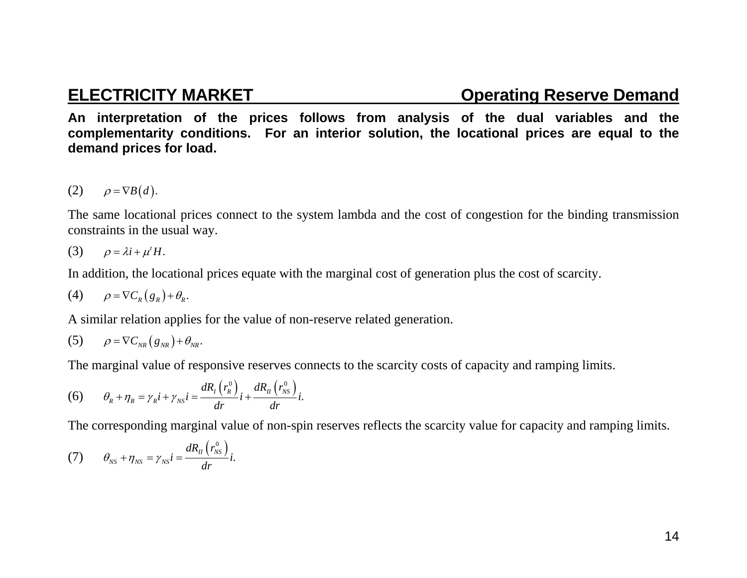### **ELECTRICITY MARKET CONSUMING CONSUMING CONSUMING CONSUMING CONSUMING CONSUMING CONSUMING CONSUMING CONSUMING CONSUMING CONSUMING CONSUMING CONSUMING CONSUMING CONSUMING CONSUMING CONSUMING CONSUMING CONSUMING CONSUMING CO**

**An interpretation of the prices follows from analysis of the dual variables and the complementarity conditions. For an interior solution, the locational prices are equal to the demand prices for load.** 

$$
(2) \qquad \rho = \nabla B(d).
$$

The same locational prices connect to the system lambda and the cost of congestion for the binding transmission constraints in the usual way.

$$
(3) \qquad \rho = \lambda i + \mu^t H.
$$

In addition, the locational prices equate with the marginal cost of generation plus the cost of scarcity.

$$
(4) \qquad \rho = \nabla C_R(g_R) + \theta_R.
$$

A similar relation applies for the value of non-reserve related generation.

$$
(5) \qquad \rho = \nabla C_{NR} (g_{NR}) + \theta_{NR}.
$$

The marginal value of responsive reserves connects to the scarcity costs of capacity and ramping limits.

(6) 
$$
\theta_R + \eta_R = \gamma_R i + \gamma_{NS} i = \frac{dR_I(r_R^0)}{dr} i + \frac{dR_H(r_{NS}^0)}{dr} i.
$$

The corresponding marginal value of non-spin reserves reflects the scarcity value for capacity and ramping limits.

(7) 
$$
\theta_{NS} + \eta_{NS} = \gamma_{NS} i = \frac{dR_{II}(r_{NS}^0)}{dr} i.
$$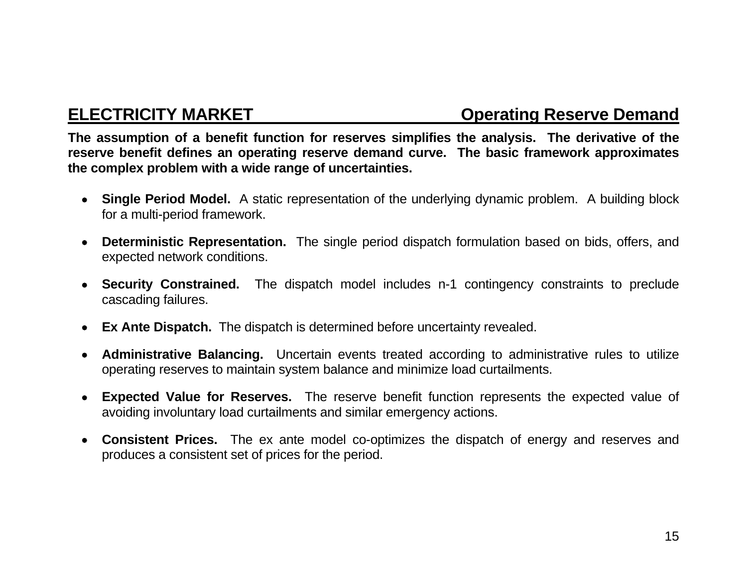### **ELECTRICITY MARKET CONSUMING CONSUMING CONSUMING CONSUMING CONSUMING CONSUMING CONSUMING CONSUMING CONSUMING CONSUMING CONSUMING CONSUMING CONSUMING CONSUMING CONSUMING CONSUMING CONSUMING CONSUMING CONSUMING CONSUMING CO**

**The assumption of a benefit function for reserves simplifies the analysis. The derivative of the reserve benefit defines an operating reserve demand curve. The basic framework approximates the complex problem with a wide range of uncertainties.** 

- **Single Period Model.** A static representation of the underlying dynamic problem. A building block for a multi-period framework.
- **Deterministic Representation.** The single period dispatch formulation based on bids, offers, and expected network conditions.
- **Security Constrained.** The dispatch model includes n-1 contingency constraints to preclude cascading failures.
- **Ex Ante Dispatch.** The dispatch is determined before uncertainty revealed.
- **Administrative Balancing.** Uncertain events treated according to administrative rules to utilize operating reserves to maintain system balance and minimize load curtailments.
- **Expected Value for Reserves.** The reserve benefit function represents the expected value of avoiding involuntary load curtailments and similar emergency actions.
- **Consistent Prices.** The ex ante model co-optimizes the dispatch of energy and reserves and produces a consistent set of prices for the period.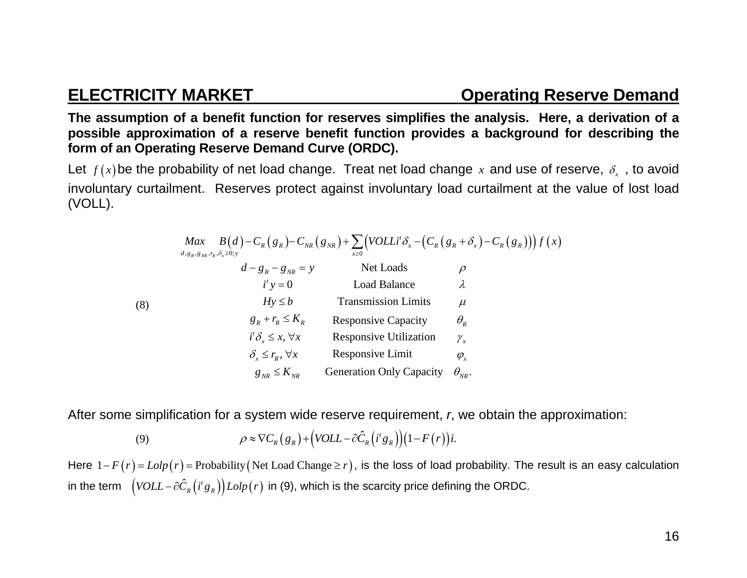**The assumption of a benefit function for reserves simplifies the analysis. Here, a derivation of a possible approximation of a reserve benefit function provides a background for describing the form of an Operating Reserve Demand Curve (ORDC).** 

Let  $f(x)$ be the probability of net load change. Treat net load change  $x$  and use of reserve,  $\delta_{x}$  , to avoid involuntary curtailment. Reserves protect against involuntary load curtailment at the value of lost load (VOLL).

|     | Max $B(d) - C_R(g_R) - C_{NR}(g_{NR}) + \sum (VOLLi^t \delta_x - (C_R(g_R + \delta_x) - C_R(g_R))) f(x)$<br>$d$ , $g_R$ , $g_{NR}$ , $r_R$ , $\delta_x{\ge}0;y$ | $x\geq 0$                       |                                 |
|-----|-----------------------------------------------------------------------------------------------------------------------------------------------------------------|---------------------------------|---------------------------------|
| (8) | $d - g_R - g_{NR} = y$                                                                                                                                          | Net Loads                       | $\Omega$                        |
|     | $i^{\prime}$ y = 0                                                                                                                                              | <b>Load Balance</b>             | λ                               |
|     | $Hy \le b$                                                                                                                                                      | <b>Transmission Limits</b>      | $\mu$                           |
|     | $g_R + r_R \leq K_R$                                                                                                                                            | <b>Responsive Capacity</b>      | $\theta_{\scriptscriptstyle R}$ |
|     | $i^{\prime}\delta_{x} \leq x, \forall x$                                                                                                                        | <b>Responsive Utilization</b>   | $\mathcal{Y}_x$                 |
|     | $\delta_{\rm r} \leq r_{\rm R}$ , $\forall x$                                                                                                                   | Responsive Limit                | $\varphi_{\mathbf{x}}$          |
|     | $g_{_{NR}} \leq K_{_{NR}}$                                                                                                                                      | <b>Generation Only Capacity</b> | $\theta_{_{NR}}$ .              |

After some simplification for a system wide reserve requirement, *<sup>r</sup>*, we obtain the approximation:

(9) 
$$
\rho \approx \nabla C_R(g_R) + (VOLL - \partial \hat{C}_R(i^t g_R))(1 - F(r))i.
$$

Here  $1 - F(r) = L \omega p(r) =$  Probability (Net Load Change  $\geq r$ ), is the loss of load probability. The result is an easy calculation in the term  $(VOLL - \partial \hat{C}_R(i^t g_R))Lolp(r)$  in (9), which is the scarcity price defining the ORDC.

16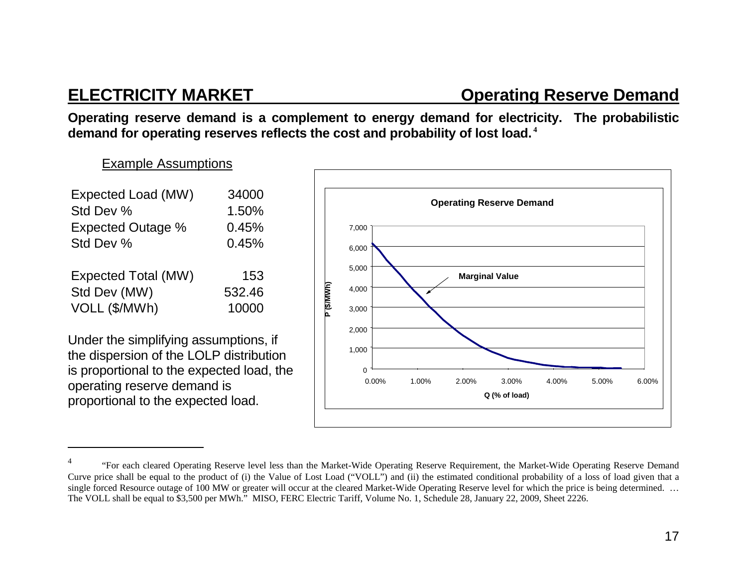### **ELECTRICITY MARKET CONSUMING CONSUMING CONSUMING CONSUMING CONSUMING CONSUMING CONSUMING CONSUMING CONSUMING CONSUMING CONSUMING CONSUMING CONSUMING CONSUMING CONSUMING CONSUMING CONSUMING CONSUMING CONSUMING CONSUMING CO**

**Operating reserve demand is a complement to energy demand for electricity. The probabilistic demand for operating reserves reflects the cost and probability of lost load.<sup>4</sup>**

### Example Assumptions

| Expected Load (MW)<br>Std Dev %<br><b>Expected Outage %</b> | 34000<br>1.50%<br>0.45% |
|-------------------------------------------------------------|-------------------------|
| Std Dev %                                                   | 0.45%                   |
| <b>Expected Total (MW)</b>                                  | 153                     |
| Std Dev (MW)                                                | 532.46                  |
| VOLL (\$/MWh)                                               | 10000                   |

Under the simplifying assumptions, if the dispersion of the LOLP distribution is proportional to the expected load, the operating reserve demand is proportional to the expected load.



<sup>4 &</sup>quot;For each cleared Operating Reserve level less than the Market-Wide Operating Reserve Requirement, the Market-Wide Operating Reserve Demand Curve price shall be equal to the product of (i) the Value of Lost Load ("VOLL") and (ii) the estimated conditional probability of a loss of load given that a single forced Resource outage of 100 MW or greater will occur at the cleared Market-Wide Operating Reserve level for which the price is being determined. ... The VOLL shall be equal to \$3,500 per MWh." MISO, FERC Electric Tariff, Volume No. 1, Schedule 28, January 22, 2009, Sheet 2226.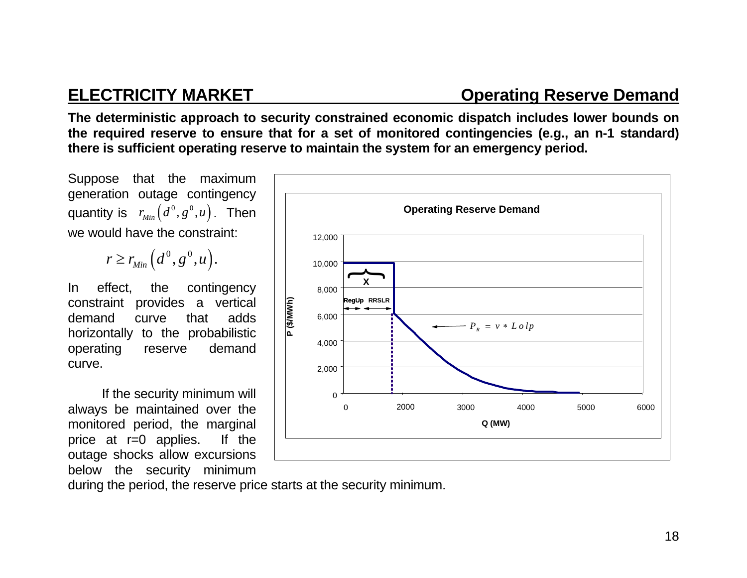### **ELECTRICITY MARKET CONSUMING CONSUMING RESERVE Demand**

**The deterministic approach to security constrained economic dispatch includes lower bounds on the required reserve to ensure that for a set of monitored contingencies (e.g., an n-1 standard) there is sufficient operating reserve to maintain the system for an emergency period.** 

Suppose that the maximum generation outage contingency quantity is  $r_{Min}(d^0, g^0, u)$ . Then we would have the constraint:

$$
r \geq r_{Min}(d^0, g^0, u).
$$

In effect, the contingency constraint provides a vertical demand curve that adds horizontally to the probabilistic operating reserve demand curve.

If the security minimum will always be maintained over the monitored period, the marginal price at r=0 applies. If the outage shocks allow excursions below the security minimum



during the period, the reserve price starts at the security minimum.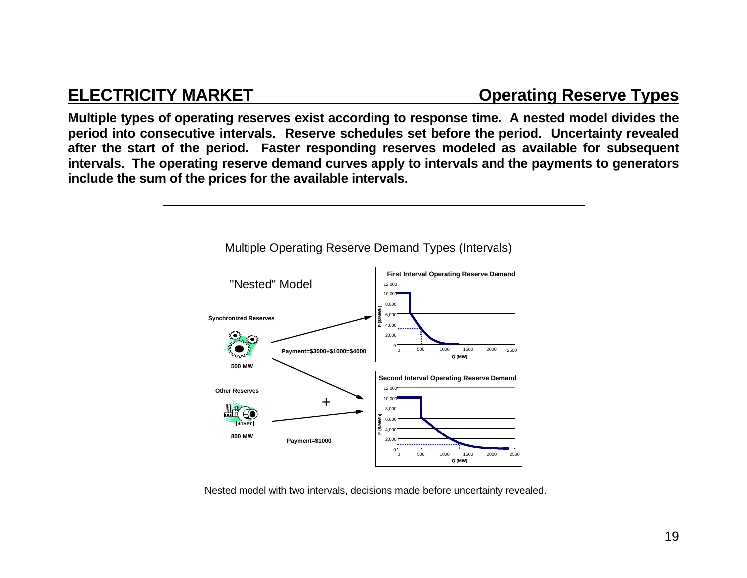## **ELECTRICITY MARKET CONSUMING CONSUMING CONSUMING CONSUMING TYPES**

**Multiple types of operating reserves exist according to response time. A nested model divides the period into consecutive intervals. Reserve schedules set before the period. Uncertainty revealed after the start of the period. Faster responding reserves modeled as available for subsequent intervals. The operating reserve demand curves apply to intervals and the payments to generators include the sum of the prices for the available intervals.** 

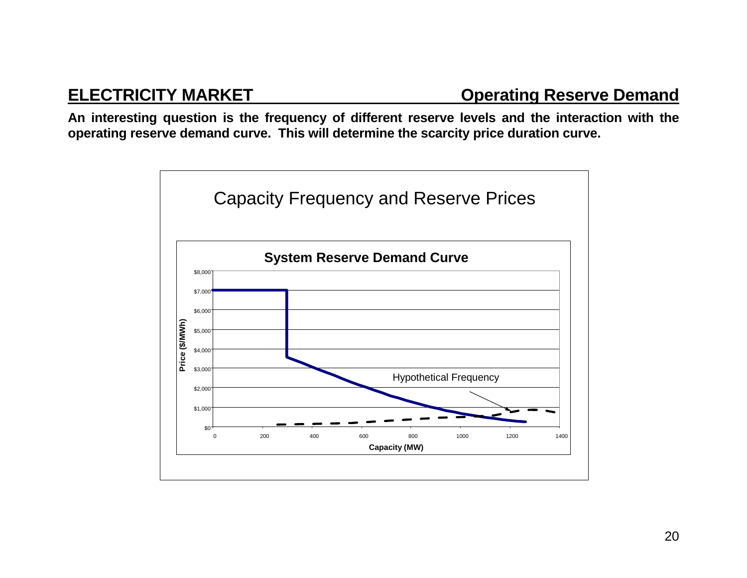**An interesting question is the frequency of different reserve levels and the interaction with the operating reserve demand curve. This will determine the scarcity price duration curve.** 

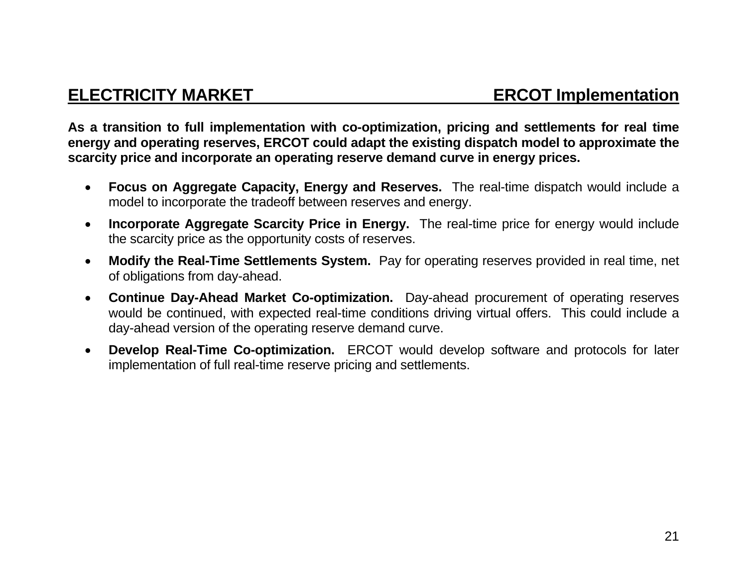**As a transition to full implementation with co-optimization, pricing and settlements for real time energy and operating reserves, ERCOT could adapt the existing dispatch model to approximate the scarcity price and incorporate an operating reserve demand curve in energy prices.** 

- $\bullet$  **Focus on Aggregate Capacity, Energy and Reserves.** The real-time dispatch would include a model to incorporate the tradeoff between reserves and energy.
- $\bullet$  **Incorporate Aggregate Scarcity Price in Energy.** The real-time price for energy would include the scarcity price as the opportunity costs of reserves.
- $\bullet$  **Modify the Real-Time Settlements System.** Pay for operating reserves provided in real time, net of obligations from day-ahead.
- $\bullet$  **Continue Day-Ahead Market Co-optimization.** Day-ahead procurement of operating reserves would be continued, with expected real-time conditions driving virtual offers. This could include a day-ahead version of the operating reserve demand curve.
- $\bullet$  **Develop Real-Time Co-optimization.** ERCOT would develop software and protocols for later implementation of full real-time reserve pricing and settlements.